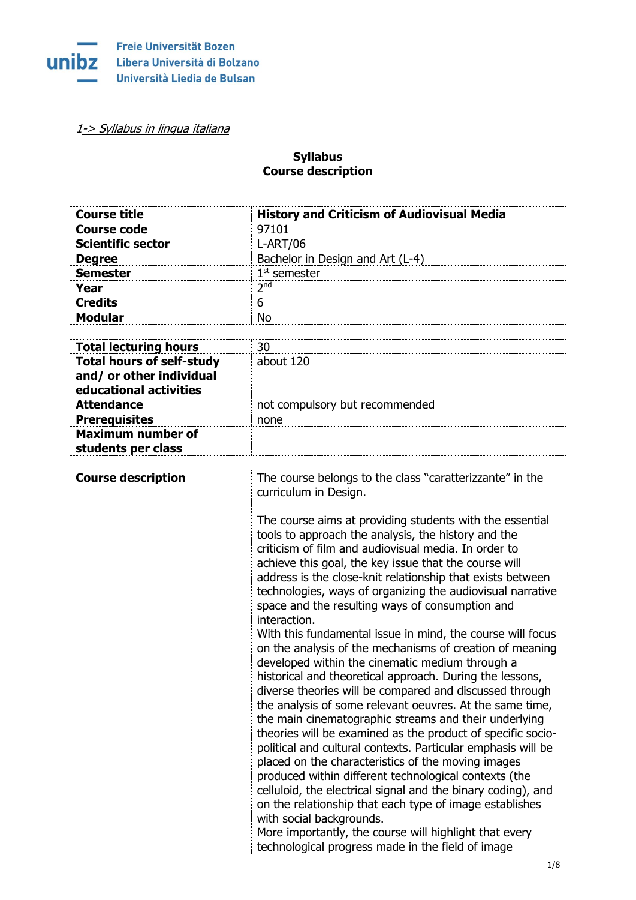

[1-> Syllabus in lingua italiana](#page-4-0)

## **Syllabus Course description**

| <b>Course title</b>          | <b>History and Criticism of Audiovisual Media</b> |
|------------------------------|---------------------------------------------------|
| <b>Course code</b>           | 97101                                             |
| <b>Scientific sector</b>     | <b>L-ART/06</b>                                   |
| <b>Degree</b>                | Bachelor in Design and Art (L-4)                  |
| <b>Semester</b>              | $1st$ semester                                    |
| Year                         | 2 <sub>nd</sub>                                   |
| <b>Credits</b>               | 6                                                 |
| <b>Modular</b>               | No                                                |
|                              |                                                   |
| <b>Total lecturing hours</b> | 30                                                |

| <b>Total lecturing hours</b>                                                           | 30                             |
|----------------------------------------------------------------------------------------|--------------------------------|
| <b>Total hours of self-study</b><br>and/ or other individual<br>educational activities | about 120                      |
| <b>Attendance</b>                                                                      | not compulsory but recommended |
| <b>Prerequisites</b>                                                                   | none                           |
| <b>Maximum number of</b>                                                               |                                |
| students per class                                                                     |                                |

| <b>Course description</b> | The course belongs to the class "caratterizzante" in the<br>curriculum in Design.<br>The course aims at providing students with the essential<br>tools to approach the analysis, the history and the<br>criticism of film and audiovisual media. In order to<br>achieve this goal, the key issue that the course will<br>address is the close-knit relationship that exists between                                                                                                                                                                                                                                                                                                                                                                                                                                                                                                                                                                                                                                                                                        |
|---------------------------|----------------------------------------------------------------------------------------------------------------------------------------------------------------------------------------------------------------------------------------------------------------------------------------------------------------------------------------------------------------------------------------------------------------------------------------------------------------------------------------------------------------------------------------------------------------------------------------------------------------------------------------------------------------------------------------------------------------------------------------------------------------------------------------------------------------------------------------------------------------------------------------------------------------------------------------------------------------------------------------------------------------------------------------------------------------------------|
|                           | technologies, ways of organizing the audiovisual narrative<br>space and the resulting ways of consumption and<br>interaction.<br>With this fundamental issue in mind, the course will focus<br>on the analysis of the mechanisms of creation of meaning<br>developed within the cinematic medium through a<br>historical and theoretical approach. During the lessons,<br>diverse theories will be compared and discussed through<br>the analysis of some relevant oeuvres. At the same time,<br>the main cinematographic streams and their underlying<br>theories will be examined as the product of specific socio-<br>political and cultural contexts. Particular emphasis will be<br>placed on the characteristics of the moving images<br>produced within different technological contexts (the<br>celluloid, the electrical signal and the binary coding), and<br>on the relationship that each type of image establishes<br>with social backgrounds.<br>More importantly, the course will highlight that every<br>technological progress made in the field of image |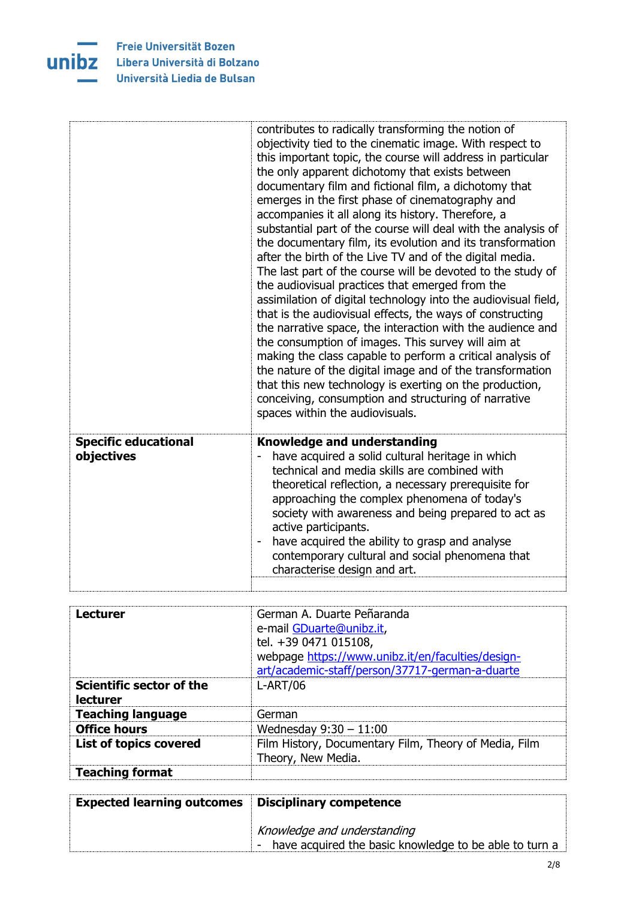

Freie Universität Bozen **UNIDZ** Libera Università di Bolzano Università Liedia de Bulsan

|                                           | contributes to radically transforming the notion of<br>objectivity tied to the cinematic image. With respect to<br>this important topic, the course will address in particular<br>the only apparent dichotomy that exists between<br>documentary film and fictional film, a dichotomy that<br>emerges in the first phase of cinematography and<br>accompanies it all along its history. Therefore, a<br>substantial part of the course will deal with the analysis of<br>the documentary film, its evolution and its transformation<br>after the birth of the Live TV and of the digital media.<br>The last part of the course will be devoted to the study of<br>the audiovisual practices that emerged from the<br>assimilation of digital technology into the audiovisual field,<br>that is the audiovisual effects, the ways of constructing<br>the narrative space, the interaction with the audience and<br>the consumption of images. This survey will aim at<br>making the class capable to perform a critical analysis of<br>the nature of the digital image and of the transformation<br>that this new technology is exerting on the production,<br>conceiving, consumption and structuring of narrative<br>spaces within the audiovisuals. |
|-------------------------------------------|-------------------------------------------------------------------------------------------------------------------------------------------------------------------------------------------------------------------------------------------------------------------------------------------------------------------------------------------------------------------------------------------------------------------------------------------------------------------------------------------------------------------------------------------------------------------------------------------------------------------------------------------------------------------------------------------------------------------------------------------------------------------------------------------------------------------------------------------------------------------------------------------------------------------------------------------------------------------------------------------------------------------------------------------------------------------------------------------------------------------------------------------------------------------------------------------------------------------------------------------------------|
| <b>Specific educational</b><br>objectives | <b>Knowledge and understanding</b><br>have acquired a solid cultural heritage in which<br>technical and media skills are combined with<br>theoretical reflection, a necessary prerequisite for<br>approaching the complex phenomena of today's<br>society with awareness and being prepared to act as<br>active participants.<br>have acquired the ability to grasp and analyse<br>contemporary cultural and social phenomena that<br>characterise design and art.                                                                                                                                                                                                                                                                                                                                                                                                                                                                                                                                                                                                                                                                                                                                                                                    |
|                                           |                                                                                                                                                                                                                                                                                                                                                                                                                                                                                                                                                                                                                                                                                                                                                                                                                                                                                                                                                                                                                                                                                                                                                                                                                                                       |

| <b>Lecturer</b>                             | German A. Duarte Peñaranda<br>e-mail GDuarte@unibz.it,<br>tel. +39 0471 015108,<br>webpage https://www.unibz.it/en/faculties/design-<br>art/academic-staff/person/37717-german-a-duarte |
|---------------------------------------------|-----------------------------------------------------------------------------------------------------------------------------------------------------------------------------------------|
| <b>Scientific sector of the</b><br>lecturer | $L-ART/06$                                                                                                                                                                              |
| <b>Teaching language</b>                    | German                                                                                                                                                                                  |
| <b>Office hours</b>                         | Wednesday $9:30 - 11:00$                                                                                                                                                                |
| <b>List of topics covered</b>               | Film History, Documentary Film, Theory of Media, Film<br>Theory, New Media.                                                                                                             |
| <b>Teaching format</b>                      |                                                                                                                                                                                         |

| <b>Expected learning outcomes</b> | Disciplinary competence                                          |
|-----------------------------------|------------------------------------------------------------------|
|                                   | Knowledge and understanding                                      |
|                                   | have acquired the basic knowledge to be able to turn a<br>$\sim$ |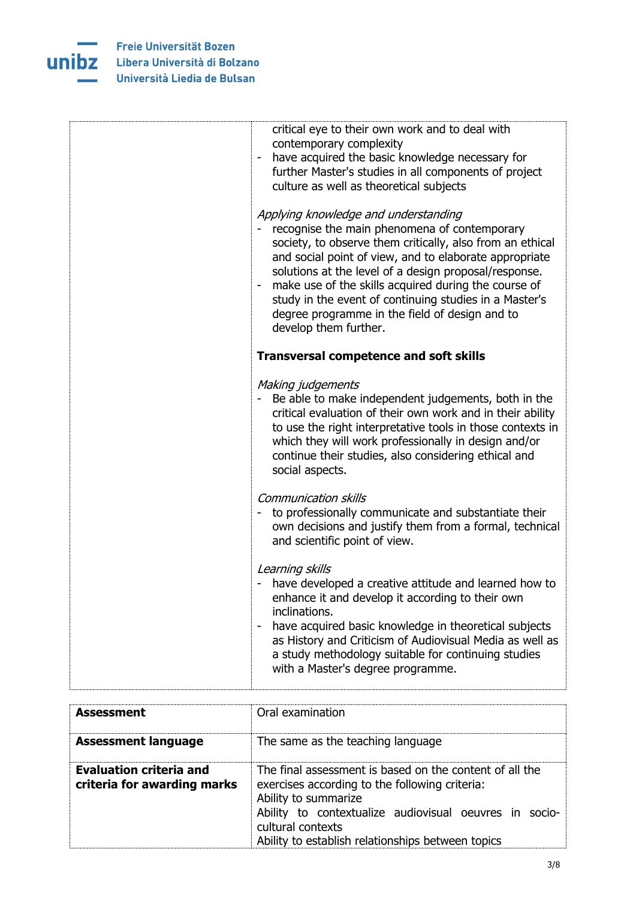

| critical eye to their own work and to deal with<br>contemporary complexity<br>have acquired the basic knowledge necessary for<br>further Master's studies in all components of project<br>culture as well as theoretical subjects<br>Applying knowledge and understanding<br>recognise the main phenomena of contemporary<br>society, to observe them critically, also from an ethical<br>and social point of view, and to elaborate appropriate<br>solutions at the level of a design proposal/response.<br>make use of the skills acquired during the course of<br>study in the event of continuing studies in a Master's<br>degree programme in the field of design and to<br>develop them further. |
|--------------------------------------------------------------------------------------------------------------------------------------------------------------------------------------------------------------------------------------------------------------------------------------------------------------------------------------------------------------------------------------------------------------------------------------------------------------------------------------------------------------------------------------------------------------------------------------------------------------------------------------------------------------------------------------------------------|
| <b>Transversal competence and soft skills</b>                                                                                                                                                                                                                                                                                                                                                                                                                                                                                                                                                                                                                                                          |
| Making judgements<br>Be able to make independent judgements, both in the<br>critical evaluation of their own work and in their ability<br>to use the right interpretative tools in those contexts in<br>which they will work professionally in design and/or<br>continue their studies, also considering ethical and<br>social aspects.                                                                                                                                                                                                                                                                                                                                                                |
| <b>Communication skills</b><br>to professionally communicate and substantiate their<br>own decisions and justify them from a formal, technical<br>and scientific point of view.                                                                                                                                                                                                                                                                                                                                                                                                                                                                                                                        |
| Learning skills<br>have developed a creative attitude and learned how to<br>enhance it and develop it according to their own<br>inclinations.<br>have acquired basic knowledge in theoretical subjects<br>$\overline{a}$<br>as History and Criticism of Audiovisual Media as well as<br>a study methodology suitable for continuing studies<br>with a Master's degree programme.                                                                                                                                                                                                                                                                                                                       |

| <b>Assessment</b>                                             | Oral examination                                                                                                                                                                                                                                                      |
|---------------------------------------------------------------|-----------------------------------------------------------------------------------------------------------------------------------------------------------------------------------------------------------------------------------------------------------------------|
| <b>Assessment language</b>                                    | The same as the teaching language                                                                                                                                                                                                                                     |
| <b>Evaluation criteria and</b><br>criteria for awarding marks | The final assessment is based on the content of all the<br>exercises according to the following criteria:<br>Ability to summarize<br>Ability to contextualize audiovisual oeuvres in socio-<br>cultural contexts<br>Ability to establish relationships between topics |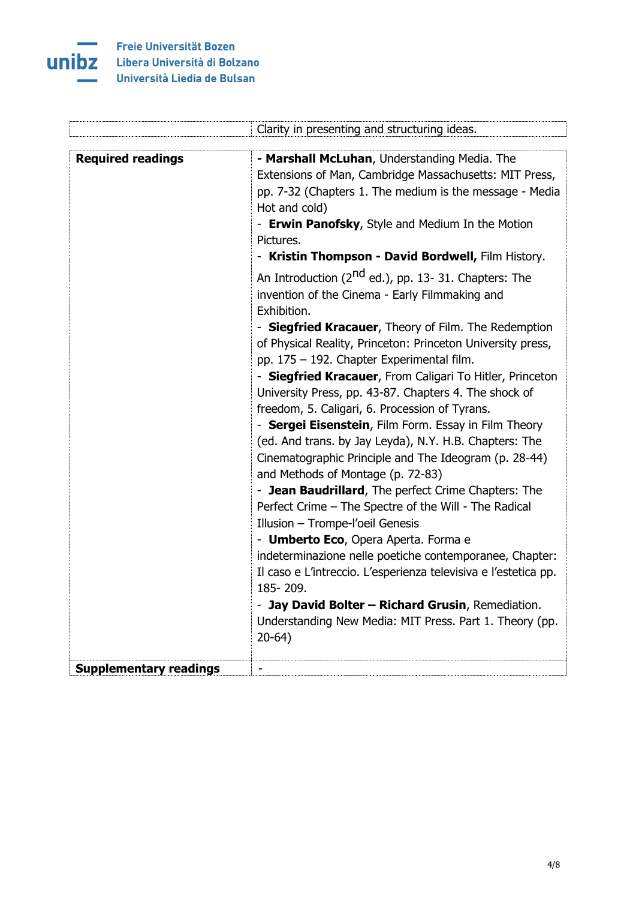

Ļ.

|                               | Clarity in presenting and structuring ideas.                     |
|-------------------------------|------------------------------------------------------------------|
|                               |                                                                  |
| <b>Required readings</b>      | - Marshall McLuhan, Understanding Media. The                     |
|                               | Extensions of Man, Cambridge Massachusetts: MIT Press,           |
|                               | pp. 7-32 (Chapters 1. The medium is the message - Media          |
|                               | Hot and cold)                                                    |
|                               | - Erwin Panofsky, Style and Medium In the Motion                 |
|                               | Pictures.                                                        |
|                               | - Kristin Thompson - David Bordwell, Film History.               |
|                               | An Introduction (2 <sup>nd</sup> ed.), pp. 13- 31. Chapters: The |
|                               | invention of the Cinema - Early Filmmaking and                   |
|                               | Exhibition.                                                      |
|                               | - Siegfried Kracauer, Theory of Film. The Redemption             |
|                               | of Physical Reality, Princeton: Princeton University press,      |
|                               | pp. 175 - 192. Chapter Experimental film.                        |
|                               | - Siegfried Kracauer, From Caligari To Hitler, Princeton         |
|                               | University Press, pp. 43-87. Chapters 4. The shock of            |
|                               | freedom, 5. Caligari, 6. Procession of Tyrans.                   |
|                               | - Sergei Eisenstein, Film Form. Essay in Film Theory             |
|                               | (ed. And trans. by Jay Leyda), N.Y. H.B. Chapters: The           |
|                               | Cinematographic Principle and The Ideogram (p. 28-44)            |
|                               | and Methods of Montage (p. 72-83)                                |
|                               | - Jean Baudrillard, The perfect Crime Chapters: The              |
|                               | Perfect Crime - The Spectre of the Will - The Radical            |
|                               | Illusion - Trompe-l'oeil Genesis                                 |
|                               | - Umberto Eco, Opera Aperta. Forma e                             |
|                               | indeterminazione nelle poetiche contemporanee, Chapter:          |
|                               | Il caso e L'intreccio. L'esperienza televisiva e l'estetica pp.  |
|                               | 185-209.                                                         |
|                               | - Jay David Bolter - Richard Grusin, Remediation.                |
|                               | Understanding New Media: MIT Press. Part 1. Theory (pp.          |
|                               | $20-64)$                                                         |
|                               |                                                                  |
| <b>Supplementary readings</b> |                                                                  |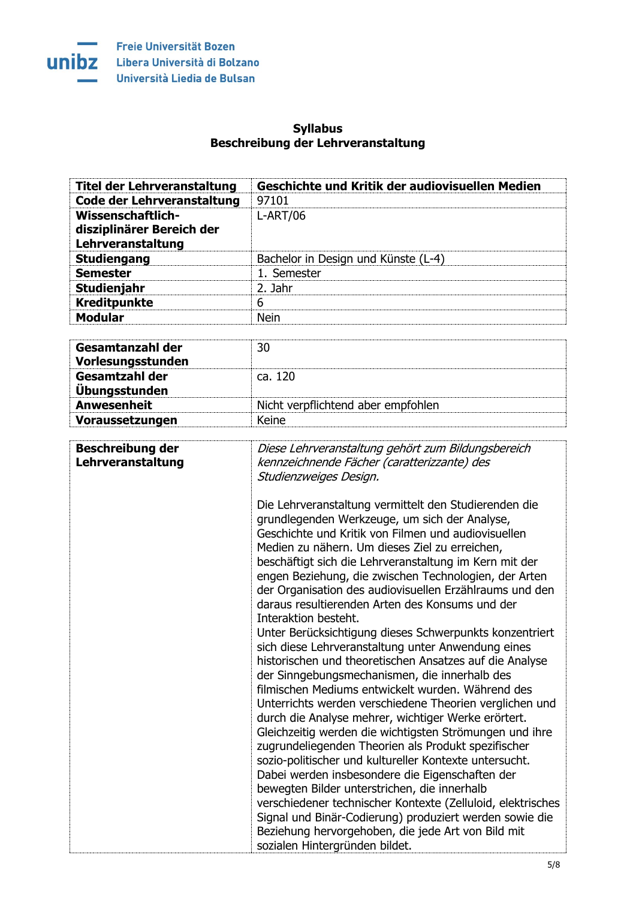

## **Syllabus Beschreibung der Lehrveranstaltung**

<span id="page-4-0"></span>

| <b>Titel der Lehrveranstaltung</b>           | Geschichte und Kritik der audiovisuellen Medien                                                                                                                                                                                                                                                                                                                                                                                                                                                                                                                                                                                                                                                                                                                                                                                                                                                                                                                                                                                                                                                                                                                                         |
|----------------------------------------------|-----------------------------------------------------------------------------------------------------------------------------------------------------------------------------------------------------------------------------------------------------------------------------------------------------------------------------------------------------------------------------------------------------------------------------------------------------------------------------------------------------------------------------------------------------------------------------------------------------------------------------------------------------------------------------------------------------------------------------------------------------------------------------------------------------------------------------------------------------------------------------------------------------------------------------------------------------------------------------------------------------------------------------------------------------------------------------------------------------------------------------------------------------------------------------------------|
| <b>Code der Lehrveranstaltung</b>            | 97101                                                                                                                                                                                                                                                                                                                                                                                                                                                                                                                                                                                                                                                                                                                                                                                                                                                                                                                                                                                                                                                                                                                                                                                   |
| <b>Wissenschaftlich-</b>                     | $L-ART/06$                                                                                                                                                                                                                                                                                                                                                                                                                                                                                                                                                                                                                                                                                                                                                                                                                                                                                                                                                                                                                                                                                                                                                                              |
| disziplinärer Bereich der                    |                                                                                                                                                                                                                                                                                                                                                                                                                                                                                                                                                                                                                                                                                                                                                                                                                                                                                                                                                                                                                                                                                                                                                                                         |
| Lehrveranstaltung                            |                                                                                                                                                                                                                                                                                                                                                                                                                                                                                                                                                                                                                                                                                                                                                                                                                                                                                                                                                                                                                                                                                                                                                                                         |
| <b>Studiengang</b>                           | Bachelor in Design und Künste (L-4)                                                                                                                                                                                                                                                                                                                                                                                                                                                                                                                                                                                                                                                                                                                                                                                                                                                                                                                                                                                                                                                                                                                                                     |
| <b>Semester</b>                              | 1. Semester                                                                                                                                                                                                                                                                                                                                                                                                                                                                                                                                                                                                                                                                                                                                                                                                                                                                                                                                                                                                                                                                                                                                                                             |
| Studienjahr                                  | 2. Jahr                                                                                                                                                                                                                                                                                                                                                                                                                                                                                                                                                                                                                                                                                                                                                                                                                                                                                                                                                                                                                                                                                                                                                                                 |
| <b>Kreditpunkte</b>                          | 6                                                                                                                                                                                                                                                                                                                                                                                                                                                                                                                                                                                                                                                                                                                                                                                                                                                                                                                                                                                                                                                                                                                                                                                       |
| <b>Modular</b>                               | <b>Nein</b>                                                                                                                                                                                                                                                                                                                                                                                                                                                                                                                                                                                                                                                                                                                                                                                                                                                                                                                                                                                                                                                                                                                                                                             |
|                                              |                                                                                                                                                                                                                                                                                                                                                                                                                                                                                                                                                                                                                                                                                                                                                                                                                                                                                                                                                                                                                                                                                                                                                                                         |
| Gesamtanzahl der                             | 30                                                                                                                                                                                                                                                                                                                                                                                                                                                                                                                                                                                                                                                                                                                                                                                                                                                                                                                                                                                                                                                                                                                                                                                      |
| Vorlesungsstunden                            |                                                                                                                                                                                                                                                                                                                                                                                                                                                                                                                                                                                                                                                                                                                                                                                                                                                                                                                                                                                                                                                                                                                                                                                         |
| <b>Gesamtzahl der</b>                        | ca. 120                                                                                                                                                                                                                                                                                                                                                                                                                                                                                                                                                                                                                                                                                                                                                                                                                                                                                                                                                                                                                                                                                                                                                                                 |
| <b>Übungsstunden</b>                         |                                                                                                                                                                                                                                                                                                                                                                                                                                                                                                                                                                                                                                                                                                                                                                                                                                                                                                                                                                                                                                                                                                                                                                                         |
| <b>Anwesenheit</b>                           | Nicht verpflichtend aber empfohlen                                                                                                                                                                                                                                                                                                                                                                                                                                                                                                                                                                                                                                                                                                                                                                                                                                                                                                                                                                                                                                                                                                                                                      |
|                                              | Keine                                                                                                                                                                                                                                                                                                                                                                                                                                                                                                                                                                                                                                                                                                                                                                                                                                                                                                                                                                                                                                                                                                                                                                                   |
| Voraussetzungen                              |                                                                                                                                                                                                                                                                                                                                                                                                                                                                                                                                                                                                                                                                                                                                                                                                                                                                                                                                                                                                                                                                                                                                                                                         |
| <b>Beschreibung der</b><br>Lehrveranstaltung | Diese Lehrveranstaltung gehört zum Bildungsbereich<br>kennzeichnende Fächer (caratterizzante) des<br>Studienzweiges Design.<br>Die Lehrveranstaltung vermittelt den Studierenden die<br>grundlegenden Werkzeuge, um sich der Analyse,<br>Geschichte und Kritik von Filmen und audiovisuellen<br>Medien zu nähern. Um dieses Ziel zu erreichen,<br>beschäftigt sich die Lehrveranstaltung im Kern mit der<br>engen Beziehung, die zwischen Technologien, der Arten<br>der Organisation des audiovisuellen Erzählraums und den<br>daraus resultierenden Arten des Konsums und der<br>Interaktion besteht.<br>Unter Berücksichtigung dieses Schwerpunkts konzentriert<br>sich diese Lehrveranstaltung unter Anwendung eines<br>historischen und theoretischen Ansatzes auf die Analyse<br>der Sinngebungsmechanismen, die innerhalb des<br>filmischen Mediums entwickelt wurden. Während des<br>Unterrichts werden verschiedene Theorien verglichen und<br>durch die Analyse mehrer, wichtiger Werke erörtert.<br>Gleichzeitig werden die wichtigsten Strömungen und ihre<br>zugrundeliegenden Theorien als Produkt spezifischer<br>sozio-politischer und kultureller Kontexte untersucht. |
|                                              | Dabei werden insbesondere die Eigenschaften der<br>bewegten Bilder unterstrichen, die innerhalb<br>verschiedener technischer Kontexte (Zelluloid, elektrisches<br>Signal und Binär-Codierung) produziert werden sowie die<br>Beziehung hervorgehoben, die jede Art von Bild mit<br>sozialen Hintergründen bildet.                                                                                                                                                                                                                                                                                                                                                                                                                                                                                                                                                                                                                                                                                                                                                                                                                                                                       |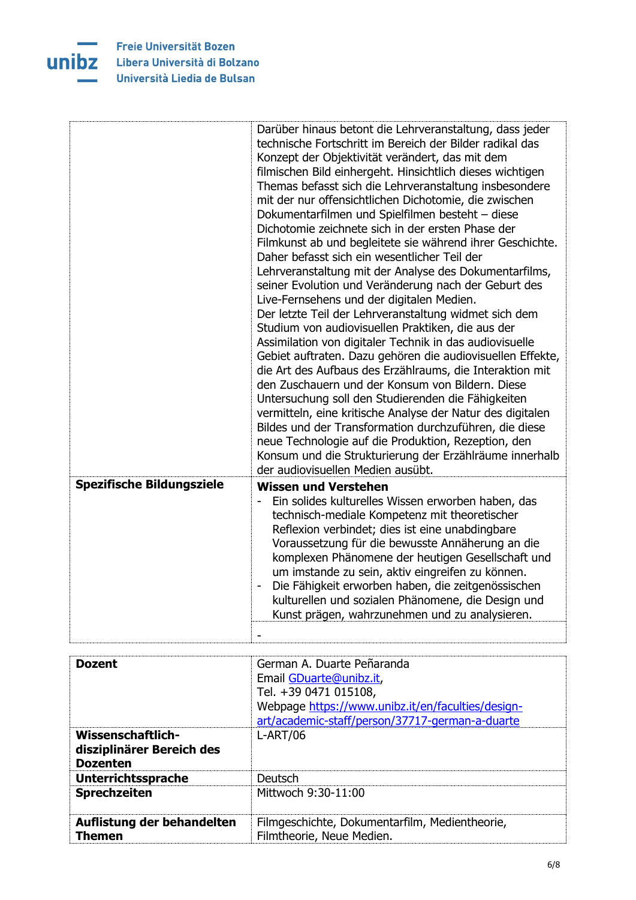

Freie Universität Bozen **UNIDZ** Libera Università di Bolzano Università Liedia de Bulsan

|                                  | Darüber hinaus betont die Lehrveranstaltung, dass jeder<br>technische Fortschritt im Bereich der Bilder radikal das<br>Konzept der Objektivität verändert, das mit dem<br>filmischen Bild einhergeht. Hinsichtlich dieses wichtigen<br>Themas befasst sich die Lehrveranstaltung insbesondere<br>mit der nur offensichtlichen Dichotomie, die zwischen<br>Dokumentarfilmen und Spielfilmen besteht - diese<br>Dichotomie zeichnete sich in der ersten Phase der<br>Filmkunst ab und begleitete sie während ihrer Geschichte.<br>Daher befasst sich ein wesentlicher Teil der<br>Lehrveranstaltung mit der Analyse des Dokumentarfilms,<br>seiner Evolution und Veränderung nach der Geburt des<br>Live-Fernsehens und der digitalen Medien.<br>Der letzte Teil der Lehrveranstaltung widmet sich dem<br>Studium von audiovisuellen Praktiken, die aus der<br>Assimilation von digitaler Technik in das audiovisuelle<br>Gebiet auftraten. Dazu gehören die audiovisuellen Effekte,<br>die Art des Aufbaus des Erzählraums, die Interaktion mit<br>den Zuschauern und der Konsum von Bildern. Diese<br>Untersuchung soll den Studierenden die Fähigkeiten<br>vermitteln, eine kritische Analyse der Natur des digitalen<br>Bildes und der Transformation durchzuführen, die diese<br>neue Technologie auf die Produktion, Rezeption, den<br>Konsum und die Strukturierung der Erzählräume innerhalb<br>der audiovisuellen Medien ausübt. |
|----------------------------------|-----------------------------------------------------------------------------------------------------------------------------------------------------------------------------------------------------------------------------------------------------------------------------------------------------------------------------------------------------------------------------------------------------------------------------------------------------------------------------------------------------------------------------------------------------------------------------------------------------------------------------------------------------------------------------------------------------------------------------------------------------------------------------------------------------------------------------------------------------------------------------------------------------------------------------------------------------------------------------------------------------------------------------------------------------------------------------------------------------------------------------------------------------------------------------------------------------------------------------------------------------------------------------------------------------------------------------------------------------------------------------------------------------------------------------------------|
| <b>Spezifische Bildungsziele</b> | <b>Wissen und Verstehen</b><br>Ein solides kulturelles Wissen erworben haben, das<br>technisch-mediale Kompetenz mit theoretischer<br>Reflexion verbindet; dies ist eine unabdingbare<br>Voraussetzung für die bewusste Annäherung an die<br>komplexen Phänomene der heutigen Gesellschaft und<br>um imstande zu sein, aktiv eingreifen zu können.<br>Die Fähigkeit erworben haben, die zeitgenössischen<br>kulturellen und sozialen Phänomene, die Design und<br>Kunst prägen, wahrzunehmen und zu analysieren.                                                                                                                                                                                                                                                                                                                                                                                                                                                                                                                                                                                                                                                                                                                                                                                                                                                                                                                        |
|                                  |                                                                                                                                                                                                                                                                                                                                                                                                                                                                                                                                                                                                                                                                                                                                                                                                                                                                                                                                                                                                                                                                                                                                                                                                                                                                                                                                                                                                                                         |

| <b>Dozent</b>                                                            | German A. Duarte Peñaranda<br>Email GDuarte@unibz.it,<br>Tel. +39 0471 015108,<br>Webpage https://www.unibz.it/en/faculties/design-<br>art/academic-staff/person/37717-german-a-duarte |
|--------------------------------------------------------------------------|----------------------------------------------------------------------------------------------------------------------------------------------------------------------------------------|
| <b>Wissenschaftlich-</b><br>disziplinärer Bereich des<br><b>Dozenten</b> | $L-ART/06$                                                                                                                                                                             |
| <b>Unterrichtssprache</b>                                                | Deutsch                                                                                                                                                                                |
| <b>Sprechzeiten</b>                                                      | Mittwoch 9:30-11:00                                                                                                                                                                    |
| Auflistung der behandelten<br><b>Themen</b>                              | Filmgeschichte, Dokumentarfilm, Medientheorie,<br>Filmtheorie, Neue Medien.                                                                                                            |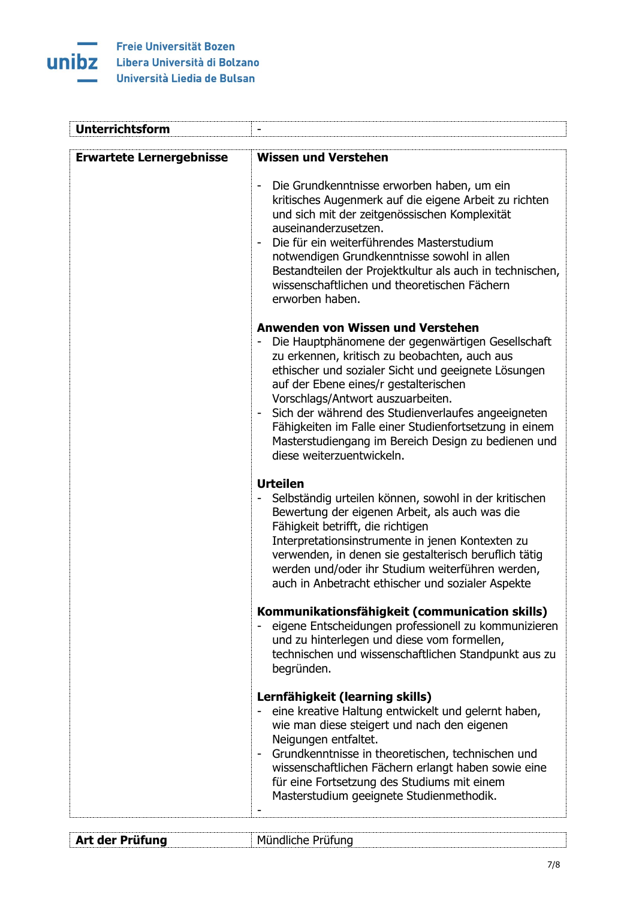

| <b>Unterrichtsform</b>          |                                                                                                                                                                                                                                                                                                                                                                                                                                                                                  |
|---------------------------------|----------------------------------------------------------------------------------------------------------------------------------------------------------------------------------------------------------------------------------------------------------------------------------------------------------------------------------------------------------------------------------------------------------------------------------------------------------------------------------|
| <b>Erwartete Lernergebnisse</b> | <b>Wissen und Verstehen</b>                                                                                                                                                                                                                                                                                                                                                                                                                                                      |
|                                 | Die Grundkenntnisse erworben haben, um ein<br>$\overline{\phantom{0}}$<br>kritisches Augenmerk auf die eigene Arbeit zu richten<br>und sich mit der zeitgenössischen Komplexität<br>auseinanderzusetzen.<br>Die für ein weiterführendes Masterstudium<br>notwendigen Grundkenntnisse sowohl in allen<br>Bestandteilen der Projektkultur als auch in technischen,<br>wissenschaftlichen und theoretischen Fächern<br>erworben haben.                                              |
|                                 | Anwenden von Wissen und Verstehen<br>Die Hauptphänomene der gegenwärtigen Gesellschaft<br>zu erkennen, kritisch zu beobachten, auch aus<br>ethischer und sozialer Sicht und geeignete Lösungen<br>auf der Ebene eines/r gestalterischen<br>Vorschlags/Antwort auszuarbeiten.<br>Sich der während des Studienverlaufes angeeigneten<br>Fähigkeiten im Falle einer Studienfortsetzung in einem<br>Masterstudiengang im Bereich Design zu bedienen und<br>diese weiterzuentwickeln. |
|                                 | <b>Urteilen</b><br>Selbständig urteilen können, sowohl in der kritischen<br>Bewertung der eigenen Arbeit, als auch was die<br>Fähigkeit betrifft, die richtigen<br>Interpretationsinstrumente in jenen Kontexten zu<br>verwenden, in denen sie gestalterisch beruflich tätig<br>werden und/oder ihr Studium weiterführen werden,<br>auch in Anbetracht ethischer und sozialer Aspekte                                                                                            |
|                                 | Kommunikationsfähigkeit (communication skills)<br>eigene Entscheidungen professionell zu kommunizieren<br>und zu hinterlegen und diese vom formellen,<br>technischen und wissenschaftlichen Standpunkt aus zu<br>begründen.                                                                                                                                                                                                                                                      |
|                                 | Lernfähigkeit (learning skills)<br>eine kreative Haltung entwickelt und gelernt haben,<br>wie man diese steigert und nach den eigenen<br>Neigungen entfaltet.<br>Grundkenntnisse in theoretischen, technischen und<br>wissenschaftlichen Fächern erlangt haben sowie eine<br>für eine Fortsetzung des Studiums mit einem<br>Masterstudium geeignete Studienmethodik.                                                                                                             |
| Art der Prüfung                 | Mündliche Prüfung                                                                                                                                                                                                                                                                                                                                                                                                                                                                |